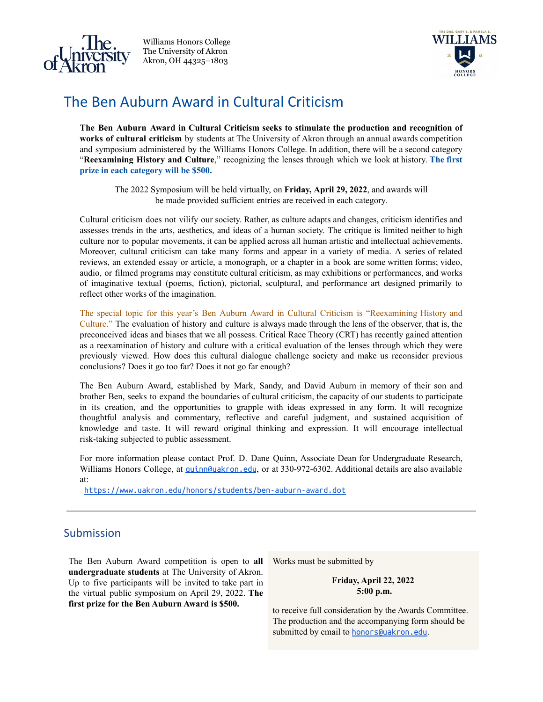

Williams Honors College The University of Akron Akron, OH 44325–1803



## The Ben Auburn Award in Cultural Criticism

**The Ben Auburn Award in Cultural Criticism seeks to stimulate the production and recognition of works of cultural criticism** by students at The University of Akron through an annual awards competition and symposium administered by the Williams Honors College. In addition, there will be a second category "**Reexamining History and Culture**," recognizing the lenses through which we look at history. **The first prize in each category will be \$500.**

The 2022 Symposium will be held virtually, on **Friday, April 29, 2022**, and awards will be made provided sufficient entries are received in each category.

Cultural criticism does not vilify our society. Rather, as culture adapts and changes, criticism identifies and assesses trends in the arts, aesthetics, and ideas of a human society. The critique is limited neither to high culture nor to popular movements, it can be applied across all human artistic and intellectual achievements. Moreover, cultural criticism can take many forms and appear in a variety of media. A series of related reviews, an extended essay or article, a monograph, or a chapter in a book are some written forms; video, audio, or filmed programs may constitute cultural criticism, as may exhibitions or performances, and works of imaginative textual (poems, fiction), pictorial, sculptural, and performance art designed primarily to reflect other works of the imagination.

The special topic for this year's Ben Auburn Award in Cultural Criticism is "Reexamining History and Culture." The evaluation of history and culture is always made through the lens of the observer, that is, the preconceived ideas and biases that we all possess. Critical Race Theory (CRT) has recently gained attention as a reexamination of history and culture with a critical evaluation of the lenses through which they were previously viewed. How does this cultural dialogue challenge society and make us reconsider previous conclusions? Does it go too far? Does it not go far enough?

The Ben Auburn Award, established by Mark, Sandy, and David Auburn in memory of their son and brother Ben, seeks to expand the boundaries of cultural criticism, the capacity of our students to participate in its creation, and the opportunities to grapple with ideas expressed in any form. It will recognize thoughtful analysis and commentary, reflective and careful judgment, and sustained acquisition of knowledge and taste. It will reward original thinking and expression. It will encourage intellectual risk-taking subjected to public assessment.

For more information please contact Prof. D. Dane Quinn, Associate Dean for Undergraduate Research, Williams Honors College, at *[quinn@uakron.edu](mailto:quinn@uakron.edu)*, or at 330-972-6302. Additional details are also available at:

<https://www.uakron.edu/honors/students/ben-auburn-award.dot>

## Submission

The Ben Auburn Award competition is open to **all undergraduate students** at The University of Akron. Up to five participants will be invited to take part in the virtual public symposium on April 29, 2022. **The first prize for the Ben Auburn Award is \$500.**

Works must be submitted by

## **Friday, April 22, 2022 5:00 p.m.**

to receive full consideration by the Awards Committee. The production and the accompanying form should be submitted by email to **[honors@uakron.edu](mailto:honors@uakron.edu)**.